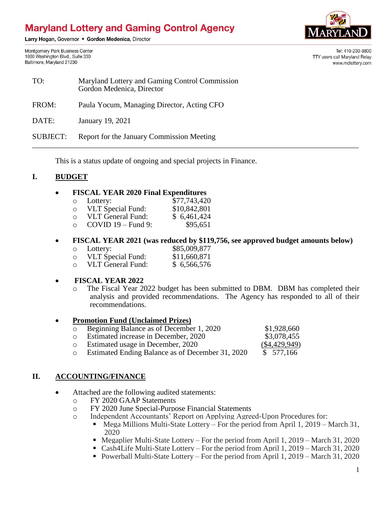# **Maryland Lottery and Gaming Control Agency**

Larry Hogan, Governor . Gordon Medenica, Director

Montgomery Park Business Center 1800 Washington Blvd., Suite 330 Baltimore, Maryland 21230



Tel: 410-230-8800 TTY users call Maryland Relay www.mdlottery.com

| TO:             | Maryland Lottery and Gaming Control Commission<br>Gordon Medenica, Director |
|-----------------|-----------------------------------------------------------------------------|
| FROM:           | Paula Yocum, Managing Director, Acting CFO                                  |
| DATE:           | January 19, 2021                                                            |
| <b>SUBJECT:</b> | Report for the January Commission Meeting                                   |

This is a status update of ongoing and special projects in Finance.

## **I. BUDGET**

#### **FISCAL YEAR 2020 Final Expenditures**

| $\circ$ | Lottery:                 | \$77,743,420 |
|---------|--------------------------|--------------|
| O       | <b>VLT</b> Special Fund: | \$10,842,801 |
| ∩       | <b>VLT General Fund:</b> | \$6,461,424  |
| ∩       | $COVID 19 - Fund 9$ :    | \$95,651     |

## **FISCAL YEAR 2021 (was reduced by \$119,756, see approved budget amounts below)**

| $\circ$ | Lottery:          | \$85,009,877 |
|---------|-------------------|--------------|
| O       | VLT Special Fund: | \$11,660,871 |

o VLT General Fund: \$ 6,566,576

#### **FISCAL YEAR 2022**

o The Fiscal Year 2022 budget has been submitted to DBM. DBM has completed their analysis and provided recommendations. The Agency has responded to all of their recommendations.

#### **Promotion Fund (Unclaimed Prizes)**

| $\circ$ | Beginning Balance as of December 1, 2020         | \$1,928,660     |
|---------|--------------------------------------------------|-----------------|
|         | o Estimated increase in December, 2020           | \$3,078,455     |
|         | o Estimated usage in December, 2020              | $(\$4,429,949)$ |
| $\circ$ | Estimated Ending Balance as of December 31, 2020 | \$ 577,166      |

## **II. ACCOUNTING/FINANCE**

- Attached are the following audited statements:
	- o FY 2020 GAAP Statements
	- o FY 2020 June Special-Purpose Financial Statements
	- o Independent Accountants' Report on Applying Agreed-Upon Procedures for:
		- Mega Millions Multi-State Lottery For the period from April 1, 2019 March 31, 2020
		- $\blacksquare$  Megaplier Multi-State Lottery For the period from April 1, 2019 March 31, 2020
		- Cash4Life Multi-State Lottery For the period from April 1, 2019 March 31, 2020
		- Powerball Multi-State Lottery For the period from April 1, 2019 March 31, 2020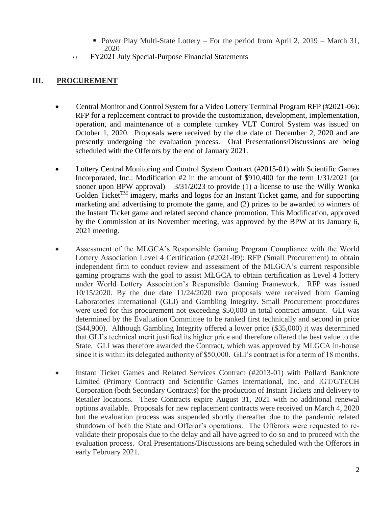- Power Play Multi-State Lottery For the period from April 2,  $2019$  March 31, 2020
- o FY2021 July Special-Purpose Financial Statements

## **III. PROCUREMENT**

- Central Monitor and Control System for a Video Lottery Terminal Program RFP (#2021-06): RFP for a replacement contract to provide the customization, development, implementation, operation, and maintenance of a complete turnkey VLT Control System was issued on October 1, 2020. Proposals were received by the due date of December 2, 2020 and are presently undergoing the evaluation process. Oral Presentations/Discussions are being scheduled with the Offerors by the end of January 2021.
- Lottery Central Monitoring and Control System Contract (#2015-01) with Scientific Games Incorporated, Inc.: Modification #2 in the amount of \$910,400 for the term 1/31/2021 (or sooner upon BPW approval) –  $3/31/2023$  to provide (1) a license to use the Willy Wonka Golden Ticket<sup>TM</sup> imagery, marks and logos for an Instant Ticket game, and for supporting marketing and advertising to promote the game, and (2) prizes to be awarded to winners of the Instant Ticket game and related second chance promotion. This Modification, approved by the Commission at its November meeting, was approved by the BPW at its January 6, 2021 meeting.
- Assessment of the MLGCA's Responsible Gaming Program Compliance with the World Lottery Association Level 4 Certification (#2021-09): RFP (Small Procurement) to obtain independent firm to conduct review and assessment of the MLGCA's current responsible gaming programs with the goal to assist MLGCA to obtain certification as Level 4 lottery under World Lottery Association's Responsible Gaming Framework. RFP was issued 10/15/2020. By the due date 11/24/2020 two proposals were received from Gaming Laboratories International (GLI) and Gambling Integrity. Small Procurement procedures were used for this procurement not exceeding \$50,000 in total contract amount. GLI was determined by the Evaluation Committee to be ranked first technically and second in price (\$44,900). Although Gambling Integrity offered a lower price (\$35,000) it was determined that GLI's technical merit justified its higher price and therefore offered the best value to the State. GLI was therefore awarded the Contract, which was approved by MLGCA in-house since it is within its delegated authority of \$50,000. GLI's contract is for a term of 18 months.
- Instant Ticket Games and Related Services Contract (#2013-01) with Pollard Banknote Limited (Primary Contract) and Scientific Games International, Inc. and IGT/GTECH Corporation (both Secondary Contracts) for the production of Instant Tickets and delivery to Retailer locations. These Contracts expire August 31, 2021 with no additional renewal options available. Proposals for new replacement contracts were received on March 4, 2020 but the evaluation process was suspended shortly thereafter due to the pandemic related shutdown of both the State and Offeror's operations. The Offerors were requested to revalidate their proposals due to the delay and all have agreed to do so and to proceed with the evaluation process. Oral Presentations/Discussions are being scheduled with the Offerors in early February 2021.